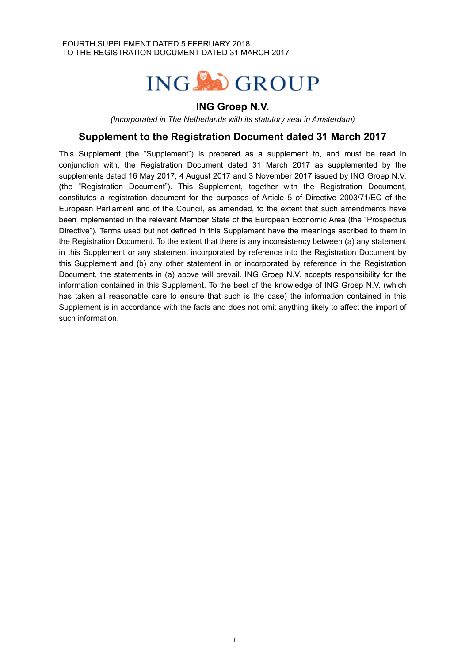# ING OGROUP

# **ING Groep N.V.**

*(Incorporated in The Netherlands with its statutory seat in Amsterdam)*

# **Supplement to the Registration Document dated 31 March 2017**

This Supplement (the "Supplement") is prepared as a supplement to, and must be read in conjunction with, the Registration Document dated 31 March 2017 as supplemented by the supplements dated 16 May 2017, 4 August 2017 and 3 November 2017 issued by ING Groep N.V. (the "Registration Document"). This Supplement, together with the Registration Document, constitutes a registration document for the purposes of Article 5 of Directive 2003/71/EC of the European Parliament and of the Council, as amended, to the extent that such amendments have been implemented in the relevant Member State of the European Economic Area (the "Prospectus Directive"). Terms used but not defined in this Supplement have the meanings ascribed to them in the Registration Document. To the extent that there is any inconsistency between (a) any statement in this Supplement or any statement incorporated by reference into the Registration Document by this Supplement and (b) any other statement in or incorporated by reference in the Registration Document, the statements in (a) above will prevail. ING Groep N.V. accepts responsibility for the information contained in this Supplement. To the best of the knowledge of ING Groep N.V. (which has taken all reasonable care to ensure that such is the case) the information contained in this Supplement is in accordance with the facts and does not omit anything likely to affect the import of such information.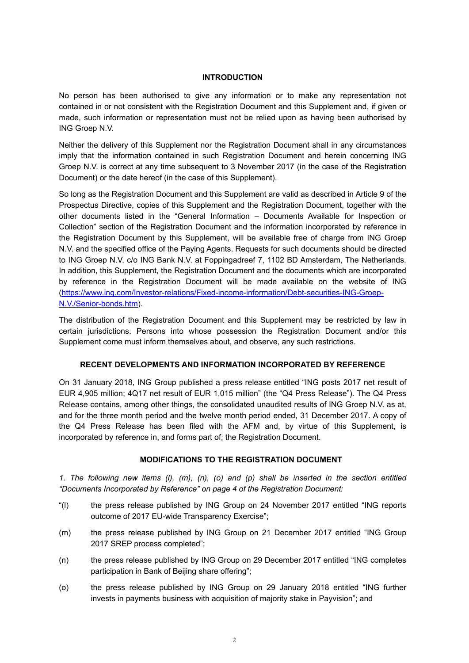#### **INTRODUCTION**

No person has been authorised to give any information or to make any representation not contained in or not consistent with the Registration Document and this Supplement and, if given or made, such information or representation must not be relied upon as having been authorised by ING Groep N.V.

Neither the delivery of this Supplement nor the Registration Document shall in any circumstances imply that the information contained in such Registration Document and herein concerning ING Groep N.V. is correct at any time subsequent to 3 November 2017 (in the case of the Registration Document) or the date hereof (in the case of this Supplement).

So long as the Registration Document and this Supplement are valid as described in Article 9 of the Prospectus Directive, copies of this Supplement and the Registration Document, together with the other documents listed in the "General Information – Documents Available for Inspection or Collection" section of the Registration Document and the information incorporated by reference in the Registration Document by this Supplement, will be available free of charge from ING Groep N.V. and the specified office of the Paying Agents. Requests for such documents should be directed to ING Groep N.V. c/o ING Bank N.V. at Foppingadreef 7, 1102 BD Amsterdam, The Netherlands. In addition, this Supplement, the Registration Document and the documents which are incorporated by reference in the Registration Document will be made available on the website of ING (https://www.ing.com/Investor-relations/Fixed-income-information/Debt-securities-ING-Groep-N.V./Senior-bonds.htm).

The distribution of the Registration Document and this Supplement may be restricted by law in certain jurisdictions. Persons into whose possession the Registration Document and/or this Supplement come must inform themselves about, and observe, any such restrictions.

## **RECENT DEVELOPMENTS AND INFORMATION INCORPORATED BY REFERENCE**

On 31 January 2018, ING Group published a press release entitled "ING posts 2017 net result of EUR 4,905 million; 4Q17 net result of EUR 1,015 million" (the "Q4 Press Release"). The Q4 Press Release contains, among other things, the consolidated unaudited results of ING Groep N.V. as at, and for the three month period and the twelve month period ended, 31 December 2017. A copy of the Q4 Press Release has been filed with the AFM and, by virtue of this Supplement, is incorporated by reference in, and forms part of, the Registration Document.

## **MODIFICATIONS TO THE REGISTRATION DOCUMENT**

*1. The following new items (l), (m), (n), (o) and (p) shall be inserted in the section entitled "Documents Incorporated by Reference" on page 4 of the Registration Document:*

- "(l) the press release published by ING Group on 24 November 2017 entitled "ING reports outcome of 2017 EU-wide Transparency Exercise";
- (m) the press release published by ING Group on 21 December 2017 entitled "ING Group 2017 SREP process completed";
- (n) the press release published by ING Group on 29 December 2017 entitled "ING completes participation in Bank of Beijing share offering";
- (o) the press release published by ING Group on 29 January 2018 entitled "ING further invests in payments business with acquisition of majority stake in Payvision"; and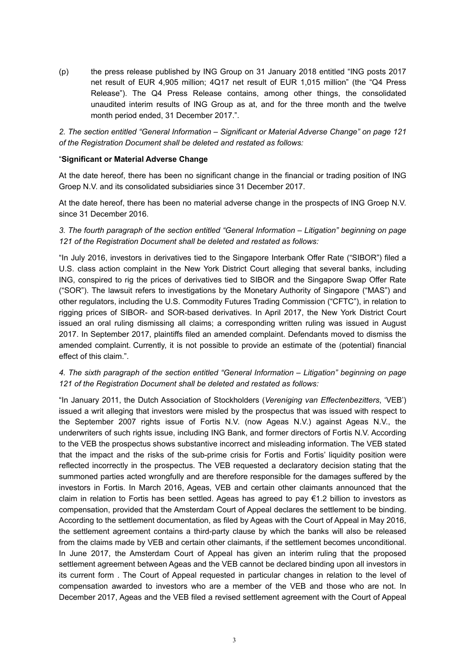(p) the press release published by ING Group on 31 January 2018 entitled "ING posts 2017 net result of EUR 4,905 million; 4Q17 net result of EUR 1,015 million" (the "Q4 Press Release"). The Q4 Press Release contains, among other things, the consolidated unaudited interim results of ING Group as at, and for the three month and the twelve month period ended, 31 December 2017.".

*2. The section entitled "General Information – Significant or Material Adverse Change" on page 121 of the Registration Document shall be deleted and restated as follows:*

#### "**Significant or Material Adverse Change**

At the date hereof, there has been no significant change in the financial or trading position of ING Groep N.V. and its consolidated subsidiaries since 31 December 2017.

At the date hereof, there has been no material adverse change in the prospects of ING Groep N.V. since 31 December 2016.

*3. The fourth paragraph of the section entitled "General Information – Litigation" beginning on page 121 of the Registration Document shall be deleted and restated as follows:*

"In July 2016, investors in derivatives tied to the Singapore Interbank Offer Rate ("SIBOR") filed a U.S. class action complaint in the New York District Court alleging that several banks, including ING, conspired to rig the prices of derivatives tied to SIBOR and the Singapore Swap Offer Rate ("SOR"). The lawsuit refers to investigations by the Monetary Authority of Singapore ("MAS") and other regulators, including the U.S. Commodity Futures Trading Commission ("CFTC"), in relation to rigging prices of SIBOR- and SOR-based derivatives. In April 2017, the New York District Court issued an oral ruling dismissing all claims; a corresponding written ruling was issued in August 2017. In September 2017, plaintiffs filed an amended complaint. Defendants moved to dismiss the amended complaint. Currently, it is not possible to provide an estimate of the (potential) financial effect of this claim.".

## *4. The sixth paragraph of the section entitled "General Information – Litigation" beginning on page 121 of the Registration Document shall be deleted and restated as follows:*

"In January 2011, the Dutch Association of Stockholders (*Vereniging van Effectenbezitters*, 'VEB') issued a writ alleging that investors were misled by the prospectus that was issued with respect to the September 2007 rights issue of Fortis N.V. (now Ageas N.V.) against Ageas N.V., the underwriters of such rights issue, including ING Bank, and former directors of Fortis N.V. According to the VEB the prospectus shows substantive incorrect and misleading information. The VEB stated that the impact and the risks of the sub-prime crisis for Fortis and Fortis' liquidity position were reflected incorrectly in the prospectus. The VEB requested a declaratory decision stating that the summoned parties acted wrongfully and are therefore responsible for the damages suffered by the investors in Fortis. In March 2016, Ageas, VEB and certain other claimants announced that the claim in relation to Fortis has been settled. Ageas has agreed to pay €1.2 billion to investors as compensation, provided that the Amsterdam Court of Appeal declares the settlement to be binding. According to the settlement documentation, as filed by Ageas with the Court of Appeal in May 2016, the settlement agreement contains a third-party clause by which the banks will also be released from the claims made by VEB and certain other claimants, if the settlement becomes unconditional. In June 2017, the Amsterdam Court of Appeal has given an interim ruling that the proposed settlement agreement between Ageas and the VEB cannot be declared binding upon all investors in its current form . The Court of Appeal requested in particular changes in relation to the level of compensation awarded to investors who are a member of the VEB and those who are not. In December 2017, Ageas and the VEB filed a revised settlement agreement with the Court of Appeal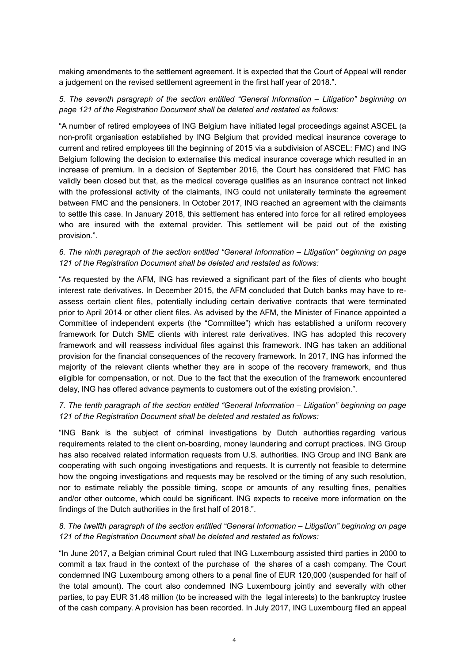making amendments to the settlement agreement. It is expected that the Court of Appeal will render a judgement on the revised settlement agreement in the first half year of 2018.".

*5. The seventh paragraph of the section entitled "General Information – Litigation" beginning on page 121 of the Registration Document shall be deleted and restated as follows:*

"A number of retired employees of ING Belgium have initiated legal proceedings against ASCEL (a non-profit organisation established by ING Belgium that provided medical insurance coverage to current and retired employees till the beginning of 2015 via a subdivision of ASCEL: FMC) and ING Belgium following the decision to externalise this medical insurance coverage which resulted in an increase of premium. In a decision of September 2016, the Court has considered that FMC has validly been closed but that, as the medical coverage qualifies as an insurance contract not linked with the professional activity of the claimants, ING could not unilaterally terminate the agreement between FMC and the pensioners. In October 2017, ING reached an agreement with the claimants to settle this case. In January 2018, this settlement has entered into force for all retired employees who are insured with the external provider. This settlement will be paid out of the existing provision.".

#### *6. The ninth paragraph of the section entitled "General Information – Litigation" beginning on page 121 of the Registration Document shall be deleted and restated as follows:*

"As requested by the AFM, ING has reviewed a significant part of the files of clients who bought interest rate derivatives. In December 2015, the AFM concluded that Dutch banks may have to reassess certain client files, potentially including certain derivative contracts that were terminated prior to April 2014 or other client files. As advised by the AFM, the Minister of Finance appointed a Committee of independent experts (the "Committee") which has established a uniform recovery framework for Dutch SME clients with interest rate derivatives. ING has adopted this recovery framework and will reassess individual files against this framework. ING has taken an additional provision for the financial consequences of the recovery framework. In 2017, ING has informed the majority of the relevant clients whether they are in scope of the recovery framework, and thus eligible for compensation, or not. Due to the fact that the execution of the framework encountered delay, ING has offered advance payments to customers out of the existing provision.".

# *7. The tenth paragraph of the section entitled "General Information – Litigation" beginning on page 121 of the Registration Document shall be deleted and restated as follows:*

"ING Bank is the subject of criminal investigations by Dutch authorities regarding various requirements related to the client on-boarding, money laundering and corrupt practices. ING Group has also received related information requests from U.S. authorities. ING Group and ING Bank are cooperating with such ongoing investigations and requests. It is currently not feasible to determine how the ongoing investigations and requests may be resolved or the timing of any such resolution, nor to estimate reliably the possible timing, scope or amounts of any resulting fines, penalties and/or other outcome, which could be significant. ING expects to receive more information on the findings of the Dutch authorities in the first half of 2018.".

# *8. The twelfth paragraph of the section entitled "General Information – Litigation" beginning on page 121 of the Registration Document shall be deleted and restated as follows:*

"In June 2017, a Belgian criminal Court ruled that ING Luxembourg assisted third parties in 2000 to commit a tax fraud in the context of the purchase of the shares of a cash company. The Court condemned ING Luxembourg among others to a penal fine of EUR 120,000 (suspended for half of the total amount). The court also condemned ING Luxembourg jointly and severally with other parties, to pay EUR 31.48 million (to be increased with the legal interests) to the bankruptcy trustee of the cash company. A provision has been recorded. In July 2017, ING Luxembourg filed an appeal